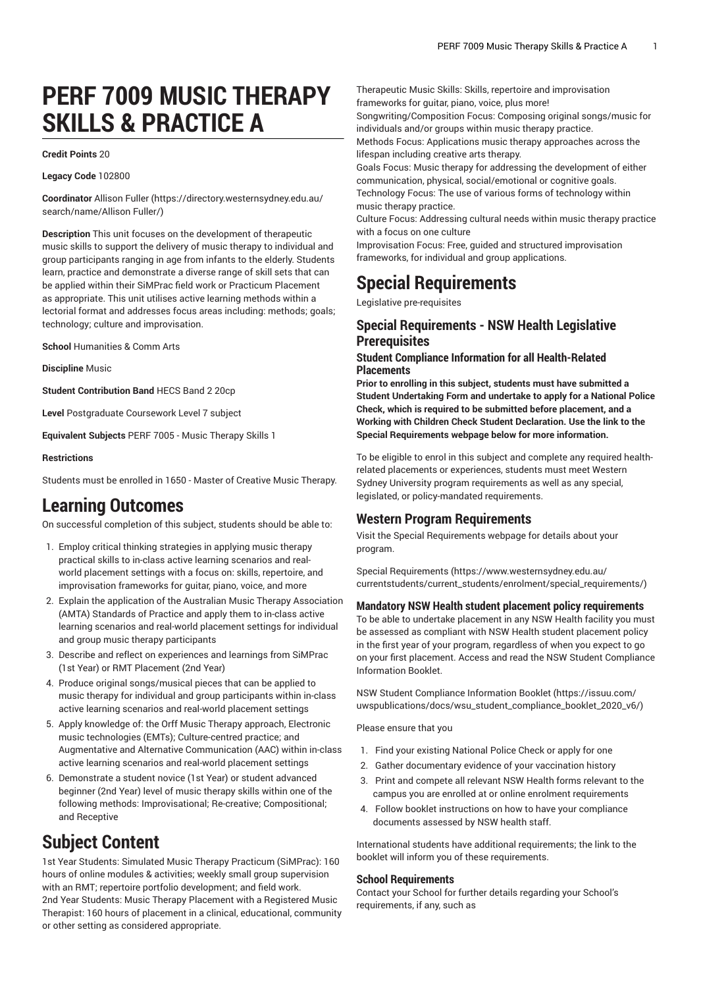# **PERF 7009 MUSIC THERAPY SKILLS & PRACTICE A**

#### **Credit Points** 20

#### **Legacy Code** 102800

**Coordinator** [Allison](https://directory.westernsydney.edu.au/search/name/Allison Fuller/) Fuller ([https://directory.westernsydney.edu.au/](https://directory.westernsydney.edu.au/search/name/Allison Fuller/) [search/name/Allison](https://directory.westernsydney.edu.au/search/name/Allison Fuller/) Fuller/)

**Description** This unit focuses on the development of therapeutic music skills to support the delivery of music therapy to individual and group participants ranging in age from infants to the elderly. Students learn, practice and demonstrate a diverse range of skill sets that can be applied within their SiMPrac field work or Practicum Placement as appropriate. This unit utilises active learning methods within a lectorial format and addresses focus areas including: methods; goals; technology; culture and improvisation.

**School** Humanities & Comm Arts

**Discipline** Music

**Student Contribution Band** HECS Band 2 20cp

**Level** Postgraduate Coursework Level 7 subject

**Equivalent Subjects** PERF 7005 - Music Therapy Skills 1

#### **Restrictions**

Students must be enrolled in 1650 - Master of Creative Music Therapy.

# **Learning Outcomes**

On successful completion of this subject, students should be able to:

- 1. Employ critical thinking strategies in applying music therapy practical skills to in-class active learning scenarios and realworld placement settings with a focus on: skills, repertoire, and improvisation frameworks for guitar, piano, voice, and more
- 2. Explain the application of the Australian Music Therapy Association (AMTA) Standards of Practice and apply them to in-class active learning scenarios and real-world placement settings for individual and group music therapy participants
- 3. Describe and reflect on experiences and learnings from SiMPrac (1st Year) or RMT Placement (2nd Year)
- 4. Produce original songs/musical pieces that can be applied to music therapy for individual and group participants within in-class active learning scenarios and real-world placement settings
- 5. Apply knowledge of: the Orff Music Therapy approach, Electronic music technologies (EMTs); Culture-centred practice; and Augmentative and Alternative Communication (AAC) within in-class active learning scenarios and real-world placement settings
- 6. Demonstrate a student novice (1st Year) or student advanced beginner (2nd Year) level of music therapy skills within one of the following methods: Improvisational; Re-creative; Compositional; and Receptive

# **Subject Content**

1st Year Students: Simulated Music Therapy Practicum (SiMPrac): 160 hours of online modules & activities; weekly small group supervision with an RMT; repertoire portfolio development; and field work. 2nd Year Students: Music Therapy Placement with a Registered Music Therapist: 160 hours of placement in a clinical, educational, community or other setting as considered appropriate.

Therapeutic Music Skills: Skills, repertoire and improvisation frameworks for guitar, piano, voice, plus more!

Songwriting/Composition Focus: Composing original songs/music for individuals and/or groups within music therapy practice.

Methods Focus: Applications music therapy approaches across the lifespan including creative arts therapy.

Goals Focus: Music therapy for addressing the development of either communication, physical, social/emotional or cognitive goals.

Technology Focus: The use of various forms of technology within music therapy practice.

Culture Focus: Addressing cultural needs within music therapy practice with a focus on one culture

Improvisation Focus: Free, guided and structured improvisation frameworks, for individual and group applications.

# **Special Requirements**

Legislative pre-requisites

#### **Special Requirements - NSW Health Legislative Prerequisites**

#### **Student Compliance Information for all Health-Related Placements**

**Prior to enrolling in this subject, students must have submitted a Student Undertaking Form and undertake to apply for a National Police Check, which is required to be submitted before placement, and a Working with Children Check Student Declaration. Use the link to the Special Requirements webpage below for more information.**

To be eligible to enrol in this subject and complete any required healthrelated placements or experiences, students must meet Western Sydney University program requirements as well as any special, legislated, or policy-mandated requirements.

#### **Western Program Requirements**

Visit the Special Requirements webpage for details about your program.

Special [Requirements \(https://www.westernsydney.edu.au/](https://www.westernsydney.edu.au/currentstudents/current_students/enrolment/special_requirements/) [currentstudents/current\\_students/enrolment/special\\_requirements/](https://www.westernsydney.edu.au/currentstudents/current_students/enrolment/special_requirements/))

#### **Mandatory NSW Health student placement policy requirements**

To be able to undertake placement in any NSW Health facility you must be assessed as compliant with NSW Health student placement policy in the first year of your program, regardless of when you expect to go on your first placement. Access and read the NSW Student Compliance Information Booklet.

[NSW Student Compliance Information Booklet](https://issuu.com/uwspublications/docs/wsu_student_compliance_booklet_2020_v6/) ([https://issuu.com/](https://issuu.com/uwspublications/docs/wsu_student_compliance_booklet_2020_v6/) [uwspublications/docs/wsu\\_student\\_compliance\\_booklet\\_2020\\_v6/](https://issuu.com/uwspublications/docs/wsu_student_compliance_booklet_2020_v6/))

Please ensure that you

- 1. Find your existing National Police Check or apply for one
- 2. Gather documentary evidence of your vaccination history
- 3. Print and compete all relevant NSW Health forms relevant to the campus you are enrolled at or online enrolment requirements
- 4. Follow booklet instructions on how to have your compliance documents assessed by NSW health staff.

International students have additional requirements; the link to the booklet will inform you of these requirements.

#### **School Requirements**

Contact your School for further details regarding your School's requirements, if any, such as